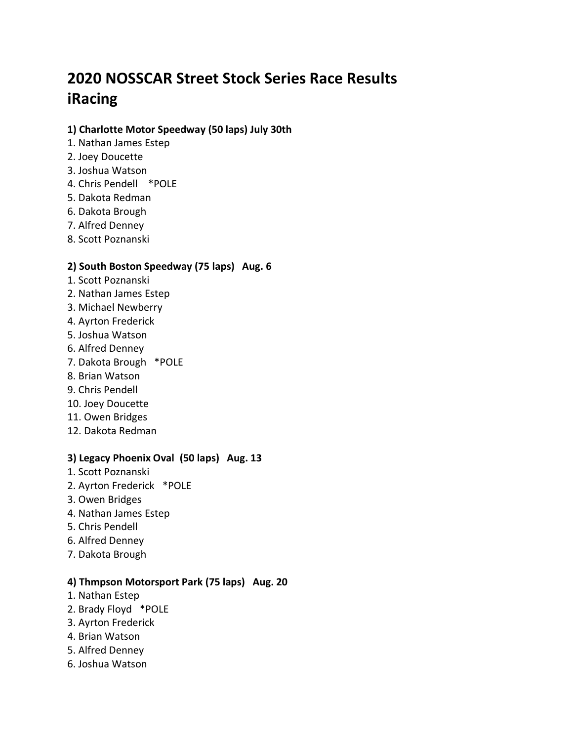# **2020 NOSSCAR Street Stock Series Race Results iRacing**

# **1) Charlotte Motor Speedway (50 laps) July 30th**

- 1. Nathan James Estep
- 2. Joey Doucette
- 3. Joshua Watson
- 4. Chris Pendell \*POLE
- 5. Dakota Redman
- 6. Dakota Brough
- 7. Alfred Denney
- 8. Scott Poznanski

# **2) South Boston Speedway (75 laps) Aug. 6**

- 1. Scott Poznanski
- 2. Nathan James Estep
- 3. Michael Newberry
- 4. Ayrton Frederick
- 5. Joshua Watson
- 6. Alfred Denney
- 7. Dakota Brough \*POLE
- 8. Brian Watson
- 9. Chris Pendell
- 10. Joey Doucette
- 11. Owen Bridges
- 12. Dakota Redman

#### **3) Legacy Phoenix Oval (50 laps) Aug. 13**

- 1. Scott Poznanski
- 2. Ayrton Frederick \*POLE
- 3. Owen Bridges
- 4. Nathan James Estep
- 5. Chris Pendell
- 6. Alfred Denney
- 7. Dakota Brough

#### **4) Thmpson Motorsport Park (75 laps) Aug. 20**

- 1. Nathan Estep
- 2. Brady Floyd \*POLE
- 3. Ayrton Frederick
- 4. Brian Watson
- 5. Alfred Denney
- 6. Joshua Watson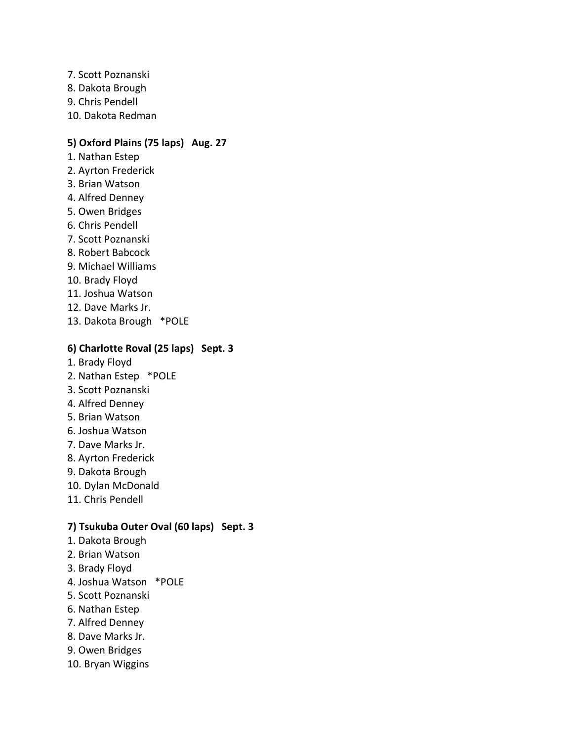7. Scott Poznanski 8. Dakota Brough 9. Chris Pendell 10. Dakota Redman

# **5) Oxford Plains (75 laps) Aug. 27**

- 1. Nathan Estep
- 2. Ayrton Frederick
- 3. Brian Watson
- 4. Alfred Denney
- 5. Owen Bridges
- 6. Chris Pendell
- 7. Scott Poznanski
- 8. Robert Babcock
- 9. Michael Williams
- 10. Brady Floyd
- 11. Joshua Watson
- 12. Dave Marks Jr.
- 13. Dakota Brough \*POLE

#### **6) Charlotte Roval (25 laps) Sept. 3**

- 1. Brady Floyd
- 2. Nathan Estep \*POLE
- 3. Scott Poznanski
- 4. Alfred Denney
- 5. Brian Watson
- 6. Joshua Watson
- 7. Dave Marks Jr.
- 8. Ayrton Frederick
- 9. Dakota Brough
- 10. Dylan McDonald
- 11. Chris Pendell

#### **7) Tsukuba Outer Oval (60 laps) Sept. 3**

- 1. Dakota Brough
- 2. Brian Watson
- 3. Brady Floyd
- 4. Joshua Watson \*POLE
- 5. Scott Poznanski
- 6. Nathan Estep
- 7. Alfred Denney
- 8. Dave Marks Jr.
- 9. Owen Bridges
- 10. Bryan Wiggins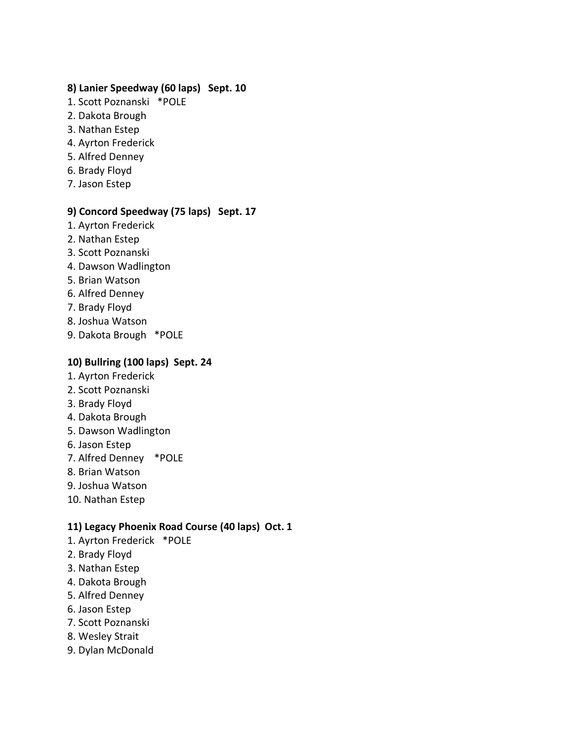# **8) Lanier Speedway (60 laps) Sept. 10**

- 1. Scott Poznanski \*POLE
- 2. Dakota Brough
- 3. Nathan Estep
- 4. Ayrton Frederick
- 5. Alfred Denney
- 6. Brady Floyd
- 7. Jason Estep

#### **9) Concord Speedway (75 laps) Sept. 17**

- 1. Ayrton Frederick
- 2. Nathan Estep
- 3. Scott Poznanski
- 4. Dawson Wadlington
- 5. Brian Watson
- 6. Alfred Denney
- 7. Brady Floyd
- 8. Joshua Watson
- 9. Dakota Brough \*POLE

# **10) Bullring (100 laps) Sept. 24**

- 1. Ayrton Frederick
- 2. Scott Poznanski
- 3. Brady Floyd
- 4. Dakota Brough
- 5. Dawson Wadlington
- 6. Jason Estep
- 7. Alfred Denney \*POLE
- 8. Brian Watson
- 9. Joshua Watson
- 10. Nathan Estep

# **11) Legacy Phoenix Road Course (40 laps) Oct. 1**

- 1. Ayrton Frederick \*POLE
- 2. Brady Floyd
- 3. Nathan Estep
- 4. Dakota Brough
- 5. Alfred Denney
- 6. Jason Estep
- 7. Scott Poznanski
- 8. Wesley Strait
- 9. Dylan McDonald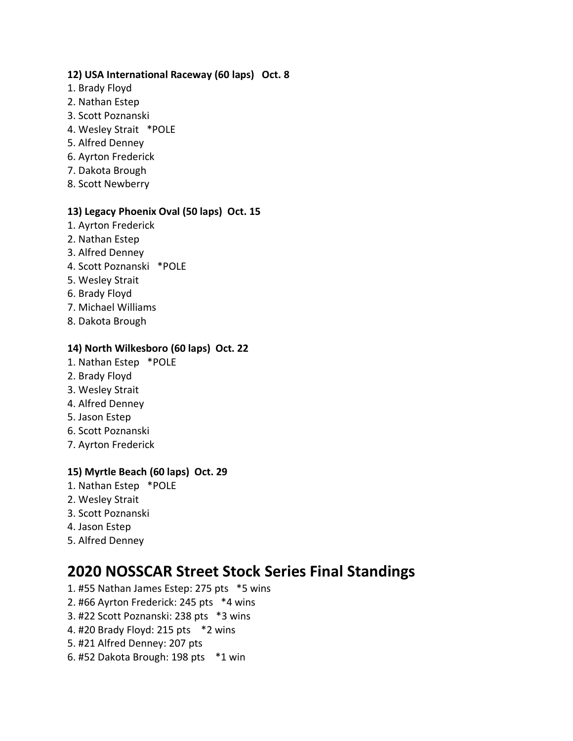# **12) USA International Raceway (60 laps) Oct. 8**

- 1. Brady Floyd
- 2. Nathan Estep
- 3. Scott Poznanski
- 4. Wesley Strait \*POLE
- 5. Alfred Denney
- 6. Ayrton Frederick
- 7. Dakota Brough
- 8. Scott Newberry

# **13) Legacy Phoenix Oval (50 laps) Oct. 15**

- 1. Ayrton Frederick
- 2. Nathan Estep
- 3. Alfred Denney
- 4. Scott Poznanski \*POLE
- 5. Wesley Strait
- 6. Brady Floyd
- 7. Michael Williams
- 8. Dakota Brough

# **14) North Wilkesboro (60 laps) Oct. 22**

- 1. Nathan Estep \*POLE
- 2. Brady Floyd
- 3. Wesley Strait
- 4. Alfred Denney
- 5. Jason Estep
- 6. Scott Poznanski
- 7. Ayrton Frederick

# **15) Myrtle Beach (60 laps) Oct. 29**

- 1. Nathan Estep \*POLE
- 2. Wesley Strait
- 3. Scott Poznanski
- 4. Jason Estep
- 5. Alfred Denney

# **2020 NOSSCAR Street Stock Series Final Standings**

- 1. #55 Nathan James Estep: 275 pts \*5 wins
- 2. #66 Ayrton Frederick: 245 pts \*4 wins
- 3. #22 Scott Poznanski: 238 pts \*3 wins
- 4. #20 Brady Floyd: 215 pts \*2 wins
- 5. #21 Alfred Denney: 207 pts
- 6. #52 Dakota Brough: 198 pts \*1 win